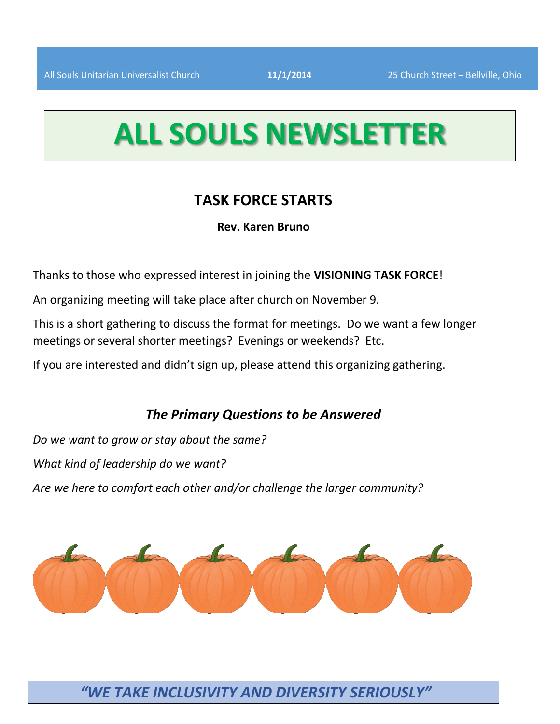# **ALL SOULS NEWSLETTER**

### **TASK FORCE STARTS**

**Rev. Karen Bruno**

Thanks to those who expressed interest in joining the **VISIONING TASK FORCE**!

An organizing meeting will take place after church on November 9.

This is a short gathering to discuss the format for meetings. Do we want a few longer meetings or several shorter meetings? Evenings or weekends? Etc.

If you are interested and didn't sign up, please attend this organizing gathering.

### *The Primary Questions to be Answered*

*Do we want to grow or stay about the same?*

*What kind of leadership do we want?* 

*Are we here to comfort each other and/or challenge the larger community?*



*"WE TAKE INCLUSIVITY AND DIVERSITY SERIOUSLY"*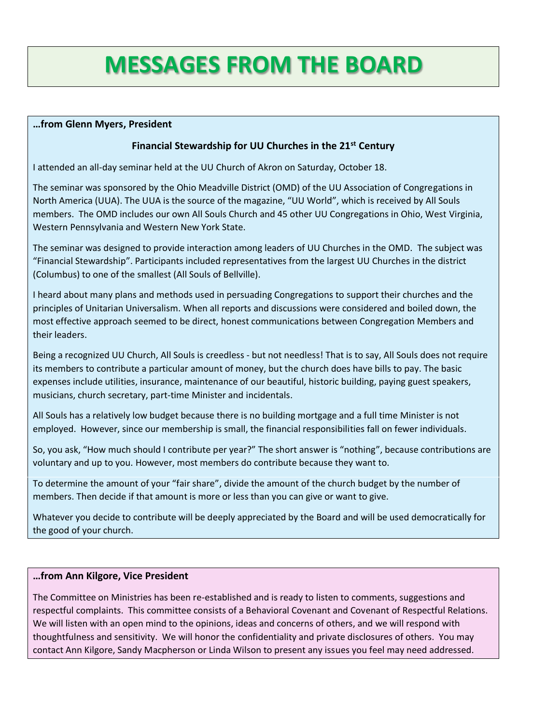# **MESSAGES FROM THE BOARD**

#### **…from Glenn Myers, President**

### **Financial Stewardship for UU Churches in the 21st Century**

I attended an all-day seminar held at the UU Church of Akron on Saturday, October 18.

The seminar was sponsored by the Ohio Meadville District (OMD) of the UU Association of Congregations in North America (UUA). The UUA is the source of the magazine, "UU World", which is received by All Souls members. The OMD includes our own All Souls Church and 45 other UU Congregations in Ohio, West Virginia, Western Pennsylvania and Western New York State.

The seminar was designed to provide interaction among leaders of UU Churches in the OMD. The subject was "Financial Stewardship". Participants included representatives from the largest UU Churches in the district (Columbus) to one of the smallest (All Souls of Bellville).

I heard about many plans and methods used in persuading Congregations to support their churches and the principles of Unitarian Universalism. When all reports and discussions were considered and boiled down, the most effective approach seemed to be direct, honest communications between Congregation Members and their leaders.

Being a recognized UU Church, All Souls is creedless - but not needless! That is to say, All Souls does not require its members to contribute a particular amount of money, but the church does have bills to pay. The basic expenses include utilities, insurance, maintenance of our beautiful, historic building, paying guest speakers, musicians, church secretary, part-time Minister and incidentals.

All Souls has a relatively low budget because there is no building mortgage and a full time Minister is not employed. However, since our membership is small, the financial responsibilities fall on fewer individuals.

So, you ask, "How much should I contribute per year?" The short answer is "nothing", because contributions are voluntary and up to you. However, most members do contribute because they want to.

To determine the amount of your "fair share", divide the amount of the church budget by the number of members. Then decide if that amount is more or less than you can give or want to give.

Whatever you decide to contribute will be deeply appreciated by the Board and will be used democratically for the good of your church.

### **…from Ann Kilgore, Vice President**

The Committee on Ministries has been re-established and is ready to listen to comments, suggestions and respectful complaints. This committee consists of a Behavioral Covenant and Covenant of Respectful Relations. We will listen with an open mind to the opinions, ideas and concerns of others, and we will respond with thoughtfulness and sensitivity. We will honor the confidentiality and private disclosures of others. You may contact Ann Kilgore, Sandy Macpherson or Linda Wilson to present any issues you feel may need addressed.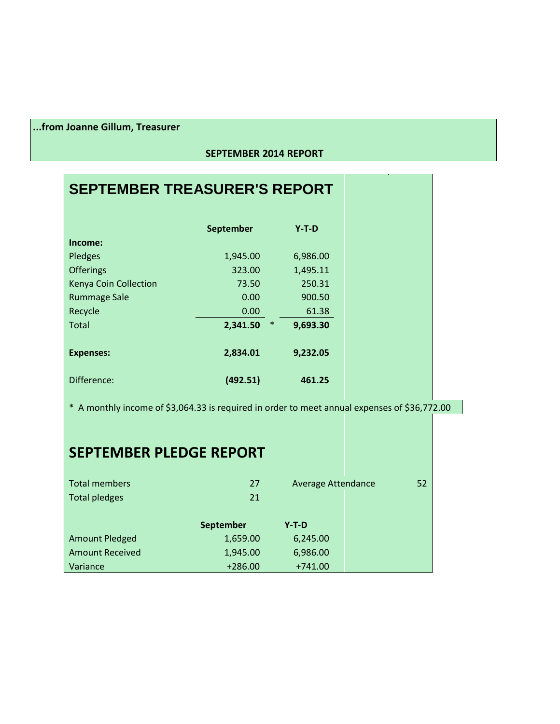### **...from Joanne Gillum, Treasurer**

### **SEPTEMBER 2014 REPORT**

### **SEPTEMBER TREASURER'S REPORT**

|                       | <b>September</b> | $Y-T-D$  |
|-----------------------|------------------|----------|
| Income:               |                  |          |
| Pledges               | 1,945.00         | 6,986.00 |
| <b>Offerings</b>      | 323.00           | 1,495.11 |
| Kenya Coin Collection | 73.50            | 250.31   |
| <b>Rummage Sale</b>   | 0.00             | 900.50   |
| Recycle               | 0.00             | 61.38    |
| Total                 | $*$<br>2,341.50  | 9,693.30 |
| <b>Expenses:</b>      | 2,834.01         | 9,232.05 |
| Difference:           | (492.51)         | 461.25   |

\* A monthly income of \$3,064.33 is required in order to meet annual expenses of \$36,772.00

### **SEPTEMBER PLEDGE REPORT**

| <b>Total members</b><br><b>Total pledges</b> | 27<br>21         | Average Attendance | 52 |
|----------------------------------------------|------------------|--------------------|----|
|                                              | <b>September</b> | $Y-T-D$            |    |
| <b>Amount Pledged</b>                        | 1,659.00         | 6,245.00           |    |
| <b>Amount Received</b>                       | 1,945.00         | 6,986.00           |    |
| Variance                                     | $+286.00$        | $+741.00$          |    |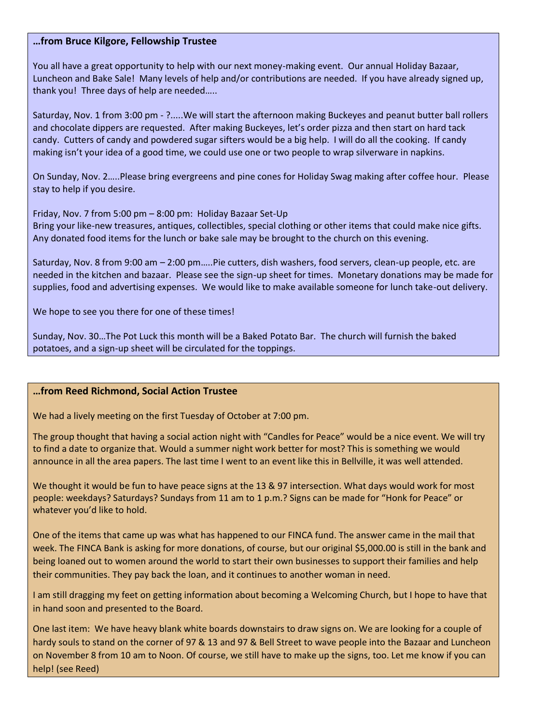### **…from Bruce Kilgore, Fellowship Trustee**

You all have a great opportunity to help with our next money-making event. Our annual Holiday Bazaar, Luncheon and Bake Sale! Many levels of help and/or contributions are needed. If you have already signed up, thank you! Three days of help are needed…..

Saturday, Nov. 1 from 3:00 pm - ?.....We will start the afternoon making Buckeyes and peanut butter ball rollers and chocolate dippers are requested. After making Buckeyes, let's order pizza and then start on hard tack candy. Cutters of candy and powdered sugar sifters would be a big help. I will do all the cooking. If candy making isn't your idea of a good time, we could use one or two people to wrap silverware in napkins.

On Sunday, Nov. 2…..Please bring evergreens and pine cones for Holiday Swag making after coffee hour. Please stay to help if you desire.

Friday, Nov. 7 from 5:00 pm – 8:00 pm: Holiday Bazaar Set-Up Bring your like-new treasures, antiques, collectibles, special clothing or other items that could make nice gifts. Any donated food items for the lunch or bake sale may be brought to the church on this evening.

Saturday, Nov. 8 from 9:00 am – 2:00 pm…..Pie cutters, dish washers, food servers, clean-up people, etc. are needed in the kitchen and bazaar. Please see the sign-up sheet for times. Monetary donations may be made for supplies, food and advertising expenses. We would like to make available someone for lunch take-out delivery.

We hope to see you there for one of these times!

Sunday, Nov. 30…The Pot Luck this month will be a Baked Potato Bar. The church will furnish the baked potatoes, and a sign-up sheet will be circulated for the toppings.

### **…from Reed Richmond, Social Action Trustee**

We had a lively meeting on the first Tuesday of October at 7:00 pm.

The group thought that having a social action night with "Candles for Peace" would be a nice event. We will try to find a date to organize that. Would a summer night work better for most? This is something we would announce in all the area papers. The last time I went to an event like this in Bellville, it was well attended.

We thought it would be fun to have peace signs at the 13 & 97 intersection. What days would work for most people: weekdays? Saturdays? Sundays from 11 am to 1 p.m.? Signs can be made for "Honk for Peace" or whatever you'd like to hold.

One of the items that came up was what has happened to our FINCA fund. The answer came in the mail that week. The FINCA Bank is asking for more donations, of course, but our original \$5,000.00 is still in the bank and being loaned out to women around the world to start their own businesses to support their families and help their communities. They pay back the loan, and it continues to another woman in need.

I am still dragging my feet on getting information about becoming a Welcoming Church, but I hope to have that in hand soon and presented to the Board.

One last item: We have heavy blank white boards downstairs to draw signs on. We are looking for a couple of hardy souls to stand on the corner of 97 & 13 and 97 & Bell Street to wave people into the Bazaar and Luncheon on November 8 from 10 am to Noon. Of course, we still have to make up the signs, too. Let me know if you can help! (see Reed)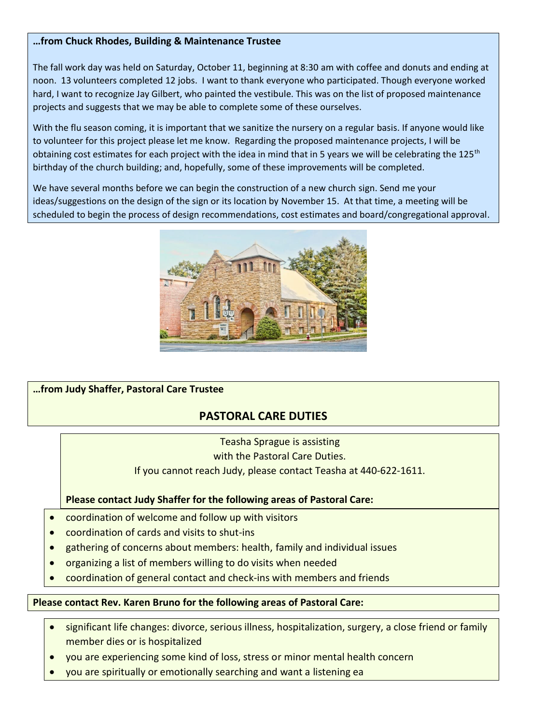### **…from Chuck Rhodes, Building & Maintenance Trustee**

The fall work day was held on Saturday, October 11, beginning at 8:30 am with coffee and donuts and ending at noon. 13 volunteers completed 12 jobs. I want to thank everyone who participated. Though everyone worked hard, I want to recognize Jay Gilbert, who painted the vestibule. This was on the list of proposed maintenance projects and suggests that we may be able to complete some of these ourselves.

With the flu season coming, it is important that we sanitize the nursery on a regular basis. If anyone would like to volunteer for this project please let me know. Regarding the proposed maintenance projects, I will be obtaining cost estimates for each project with the idea in mind that in 5 years we will be celebrating the 125<sup>th</sup> birthday of the church building; and, hopefully, some of these improvements will be completed.

We have several months before we can begin the construction of a new church sign. Send me your ideas/suggestions on the design of the sign or its location by November 15. At that time, a meeting will be scheduled to begin the process of design recommendations, cost estimates and board/congregational approval.



**…from Judy Shaffer, Pastoral Care Trustee**

### **PASTORAL CARE DUTIES**

Teasha Sprague is assisting with the Pastoral Care Duties. If you cannot reach Judy, please contact Teasha at 440-622-1611.

### **Please contact Judy Shaffer for the following areas of Pastoral Care:**

- coordination of welcome and follow up with visitors
- coordination of cards and visits to shut-ins
- gathering of concerns about members: health, family and individual issues
- organizing a list of members willing to do visits when needed
- coordination of general contact and check-ins with members and friends

**Please contact Rev. Karen Bruno for the following areas of Pastoral Care:**

- significant life changes: divorce, serious illness, hospitalization, surgery, a close friend or family member dies or is hospitalized
- you are experiencing some kind of loss, stress or minor mental health concern
- you are spiritually or emotionally searching and want a listening ea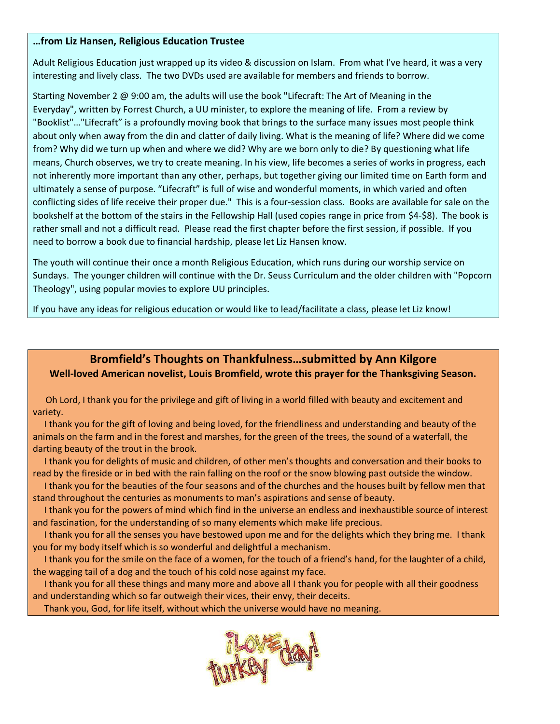### **…from Liz Hansen, Religious Education Trustee**

Adult Religious Education just wrapped up its video & discussion on Islam. From what I've heard, it was a very interesting and lively class. The two DVDs used are available for members and friends to borrow.

Starting November 2 @ 9:00 am, the adults will use the book "Lifecraft: The Art of Meaning in the Everyday", written by Forrest Church, a UU minister, to explore the meaning of life. From a review by "Booklist"…"Lifecraft" is a profoundly moving book that brings to the surface many issues most people think about only when away from the din and clatter of daily living. What is the meaning of life? Where did we come from? Why did we turn up when and where we did? Why are we born only to die? By questioning what life means, Church observes, we try to create meaning. In his view, life becomes a series of works in progress, each not inherently more important than any other, perhaps, but together giving our limited time on Earth form and ultimately a sense of purpose. "Lifecraft" is full of wise and wonderful moments, in which varied and often conflicting sides of life receive their proper due." This is a four-session class. Books are available for sale on the bookshelf at the bottom of the stairs in the Fellowship Hall (used copies range in price from \$4-\$8). The book is rather small and not a difficult read. Please read the first chapter before the first session, if possible. If you need to borrow a book due to financial hardship, please let Liz Hansen know.

The youth will continue their once a month Religious Education, which runs during our worship service on Sundays. The younger children will continue with the Dr. Seuss Curriculum and the older children with "Popcorn Theology", using popular movies to explore UU principles.

If you have any ideas for religious education or would like to lead/facilitate a class, please let Liz know!

### **Bromfield's Thoughts on Thankfulness…submitted by Ann Kilgore**

**Well-loved American novelist, Louis Bromfield, wrote this prayer for the Thanksgiving Season.**

 Oh Lord, I thank you for the privilege and gift of living in a world filled with beauty and excitement and variety.

 I thank you for the gift of loving and being loved, for the friendliness and understanding and beauty of the animals on the farm and in the forest and marshes, for the green of the trees, the sound of a waterfall, the darting beauty of the trout in the brook.

 I thank you for delights of music and children, of other men's thoughts and conversation and their books to read by the fireside or in bed with the rain falling on the roof or the snow blowing past outside the window.

 I thank you for the beauties of the four seasons and of the churches and the houses built by fellow men that stand throughout the centuries as monuments to man's aspirations and sense of beauty.

 I thank you for the powers of mind which find in the universe an endless and inexhaustible source of interest and fascination, for the understanding of so many elements which make life precious.

 I thank you for all the senses you have bestowed upon me and for the delights which they bring me. I thank you for my body itself which is so wonderful and delightful a mechanism.

 I thank you for the smile on the face of a women, for the touch of a friend's hand, for the laughter of a child, the wagging tail of a dog and the touch of his cold nose against my face.

 I thank you for all these things and many more and above all I thank you for people with all their goodness and understanding which so far outweigh their vices, their envy, their deceits.

Thank you, God, for life itself, without which the universe would have no meaning.

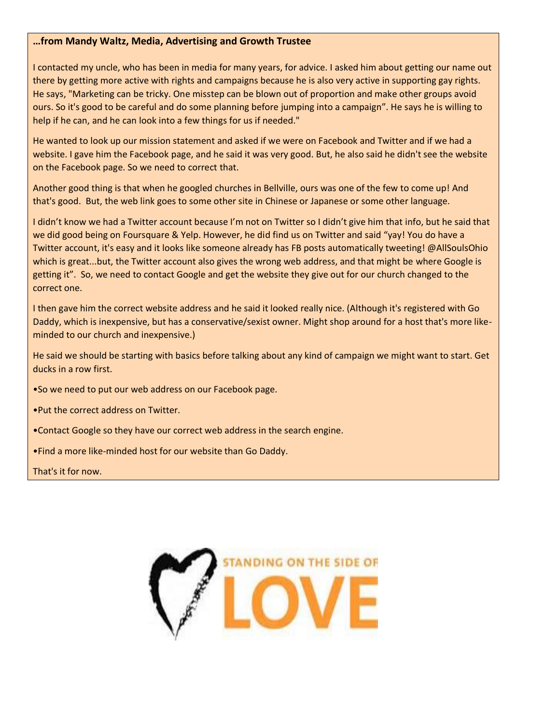### **…from Mandy Waltz, Media, Advertising and Growth Trustee**

I contacted my uncle, who has been in media for many years, for advice. I asked him about getting our name out there by getting more active with rights and campaigns because he is also very active in supporting gay rights. He says, "Marketing can be tricky. One misstep can be blown out of proportion and make other groups avoid ours. So it's good to be careful and do some planning before jumping into a campaign". He says he is willing to help if he can, and he can look into a few things for us if needed."

He wanted to look up our mission statement and asked if we were on Facebook and Twitter and if we had a website. I gave him the Facebook page, and he said it was very good. But, he also said he didn't see the website on the Facebook page. So we need to correct that.

Another good thing is that when he googled churches in Bellville, ours was one of the few to come up! And that's good. But, the web link goes to some other site in Chinese or Japanese or some other language.

I didn't know we had a Twitter account because I'm not on Twitter so I didn't give him that info, but he said that we did good being on Foursquare & Yelp. However, he did find us on Twitter and said "yay! You do have a Twitter account, it's easy and it looks like someone already has FB posts automatically tweeting! @AllSoulsOhio which is great...but, the Twitter account also gives the wrong web address, and that might be where Google is getting it". So, we need to contact Google and get the website they give out for our church changed to the correct one.

I then gave him the correct website address and he said it looked really nice. (Although it's registered with Go Daddy, which is inexpensive, but has a conservative/sexist owner. Might shop around for a host that's more likeminded to our church and inexpensive.)

He said we should be starting with basics before talking about any kind of campaign we might want to start. Get ducks in a row first.

•So we need to put our web address on our Facebook page.

•Put the correct address on Twitter.

•Contact Google so they have our correct web address in the search engine.

•Find a more like-minded host for our website than Go Daddy.

That's it for now.

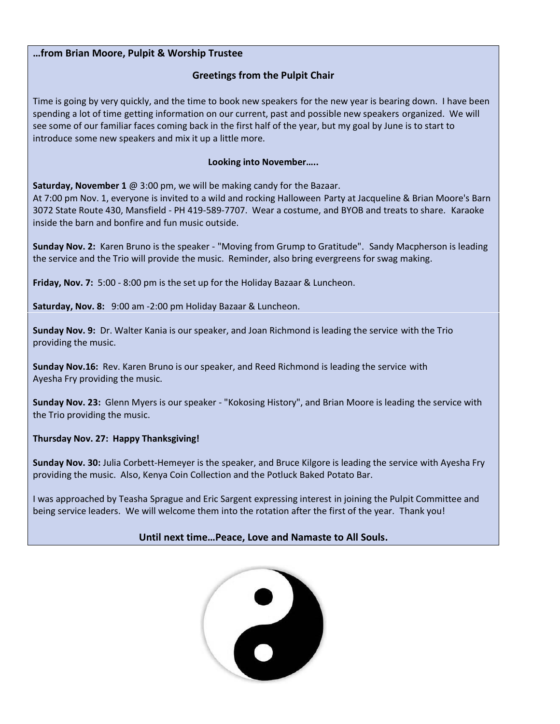### **…from Brian Moore, Pulpit & Worship Trustee**

### **Greetings from the Pulpit Chair**

Time is going by very quickly, and the time to book new speakers for the new year is bearing down. I have been spending a lot of time getting information on our current, past and possible new speakers organized. We will see some of our familiar faces coming back in the first half of the year, but my goal by June is to start to introduce some new speakers and mix it up a little more.

### **Looking into November…..**

**Saturday, November 1** @ 3:00 pm, we will be making candy for the Bazaar.

At 7:00 pm Nov. 1, everyone is invited to a wild and rocking Halloween Party at Jacqueline & Brian Moore's Barn 3072 State Route 430, Mansfield - PH 419-589-7707. Wear a costume, and BYOB and treats to share. Karaoke inside the barn and bonfire and fun music outside.

**Sunday Nov. 2:** Karen Bruno is the speaker - "Moving from Grump to Gratitude". Sandy Macpherson is leading the service and the Trio will provide the music. Reminder, also bring evergreens for swag making.

**Friday, Nov. 7:** 5:00 - 8:00 pm is the set up for the Holiday Bazaar & Luncheon.

**Saturday, Nov. 8:** 9:00 am -2:00 pm Holiday Bazaar & Luncheon.

**Sunday Nov. 9:** Dr. Walter Kania is our speaker, and Joan Richmond is leading the service with the Trio providing the music.

**Sunday Nov.16:** Rev. Karen Bruno is our speaker, and Reed Richmond is leading the service with Ayesha Fry providing the music.

**Sunday Nov. 23:** Glenn Myers is our speaker - "Kokosing History", and Brian Moore is leading the service with the Trio providing the music.

### **Thursday Nov. 27: Happy Thanksgiving!**

**Sunday Nov. 30:** Julia Corbett-Hemeyer is the speaker, and Bruce Kilgore is leading the service with Ayesha Fry providing the music. Also, Kenya Coin Collection and the Potluck Baked Potato Bar.

I was approached by Teasha Sprague and Eric Sargent expressing interest in joining the Pulpit Committee and being service leaders. We will welcome them into the rotation after the first of the year. Thank you!

### **Until next time…Peace, Love and Namaste to All Souls.**

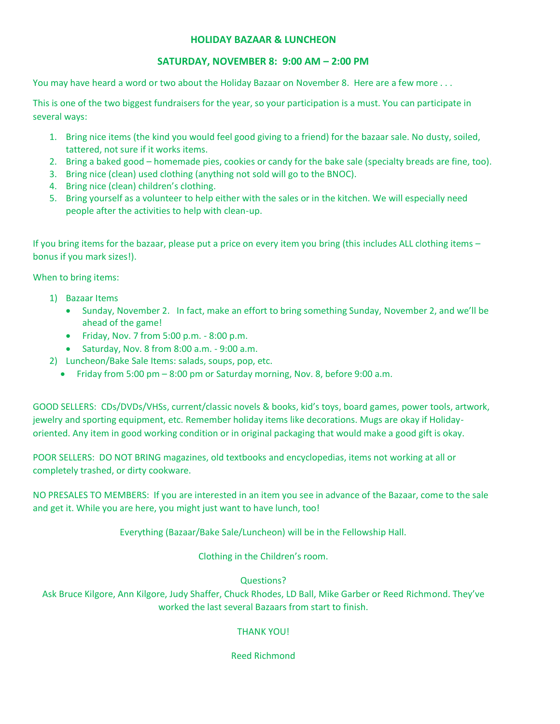### **HOLIDAY BAZAAR & LUNCHEON**

### **SATURDAY, NOVEMBER 8: 9:00 AM – 2:00 PM**

You may have heard a word or two about the Holiday Bazaar on November 8. Here are a few more . . .

This is one of the two biggest fundraisers for the year, so your participation is a must. You can participate in several ways:

- 1. Bring nice items (the kind you would feel good giving to a friend) for the bazaar sale. No dusty, soiled, tattered, not sure if it works items.
- 2. Bring a baked good homemade pies, cookies or candy for the bake sale (specialty breads are fine, too).
- 3. Bring nice (clean) used clothing (anything not sold will go to the BNOC).
- 4. Bring nice (clean) children's clothing.
- 5. Bring yourself as a volunteer to help either with the sales or in the kitchen. We will especially need people after the activities to help with clean-up.

If you bring items for the bazaar, please put a price on every item you bring (this includes ALL clothing items – bonus if you mark sizes!).

When to bring items:

- 1) Bazaar Items
	- Sunday, November 2. In fact, make an effort to bring something Sunday, November 2, and we'll be ahead of the game!
	- Friday, Nov. 7 from 5:00 p.m. 8:00 p.m.
	- Saturday, Nov. 8 from  $8:00$  a.m.  $9:00$  a.m.
- 2) Luncheon/Bake Sale Items: salads, soups, pop, etc.
	- Friday from 5:00 pm 8:00 pm or Saturday morning, Nov. 8, before 9:00 a.m.

GOOD SELLERS: CDs/DVDs/VHSs, current/classic novels & books, kid's toys, board games, power tools, artwork, jewelry and sporting equipment, etc. Remember holiday items like decorations. Mugs are okay if Holidayoriented. Any item in good working condition or in original packaging that would make a good gift is okay.

POOR SELLERS: DO NOT BRING magazines, old textbooks and encyclopedias, items not working at all or completely trashed, or dirty cookware.

NO PRESALES TO MEMBERS: If you are interested in an item you see in advance of the Bazaar, come to the sale and get it. While you are here, you might just want to have lunch, too!

Everything (Bazaar/Bake Sale/Luncheon) will be in the Fellowship Hall.

Clothing in the Children's room.

### Questions?

Ask Bruce Kilgore, Ann Kilgore, Judy Shaffer, Chuck Rhodes, LD Ball, Mike Garber or Reed Richmond. They've worked the last several Bazaars from start to finish.

### THANK YOU!

### Reed Richmond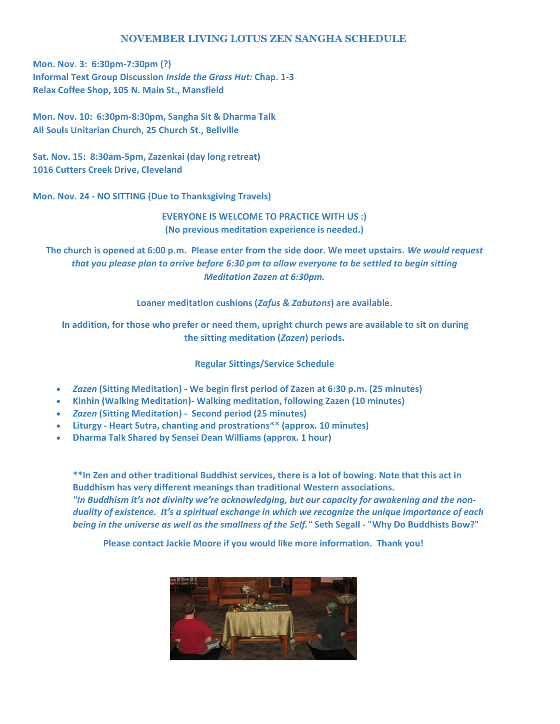### **NOVEMBER LIVING LOTUS ZEN SANGHA SCHEDULE**

**Mon. Nov. 3: 6:30pm-7:30pm (?) Informal Text Group Discussion** *Inside the Grass Hut:* **Chap. 1-3 Relax Coffee Shop, 105 N. Main St., Mansfield**

**Mon. Nov. 10: 6:30pm-8:30pm, Sangha Sit & Dharma Talk All Souls Unitarian Church, 25 Church St., Bellville** 

**Sat. Nov. 15: 8:30am-5pm, Zazenkai (day long retreat) 1016 Cutters Creek Drive, Cleveland**

**Mon. Nov. 24 - NO SITTING (Due to Thanksgiving Travels)**

**EVERYONE IS WELCOME TO PRACTICE WITH US :) (No previous meditation experience is needed.)**

**The church is opened at 6:00 p.m. Please enter from the side door. We meet upstairs***. We would request that you please plan to arrive before 6:30 pm to allow everyone to be settled to begin [sitting](https://sites.google.com/site/livinglotuszensangha/how-to-meditate-zazen)  [Meditation](https://sites.google.com/site/livinglotuszensangha/how-to-meditate-zazen) Zazen at 6:30pm.*

**Loaner meditation cushions (***Zafus & Zabutons***) are available.**

**In addition, for those who prefer or need them, upright church pews are available to sit on during the [sitting meditation \(](https://sites.google.com/site/livinglotuszensangha/how-to-meditate-zazen)***Zazen***) periods.**

**Regular Sittings/Service Schedule**

- *Zazen* **[\(Sitting Meditation\)](https://sites.google.com/site/livinglotuszensangha/how-to-meditate-zazen) - We begin first period of Zazen at 6:30 p.m. (25 minutes)**
- **[Kinhin \(Walking Meditation\)-](https://sites.google.com/site/livinglotuszensangha/walking-meditation-kinhin) Walking meditation, following Zazen (10 minutes)**
- *Zazen* **(Sitting Meditation) - Second period (25 minutes)**
- **Liturgy - [Heart Sutra,](https://sites.google.com/site/livinglotuszensangha/chant-book) chanting and prostrations\*\* (approx. 10 minutes)**
- **[Dharma Talk](http://jijuyuji.org/dharma-talks/) Shared by [Sensei Dean Williams](https://sites.google.com/site/livinglotuszensangha/our-lineage-teacher) (approx. 1 hour)**

**\*\*In Zen and other traditional Buddhist services, there is a lot of bowing. Note that this act in Buddhism has very different meanings than traditional Western associations.** *"In Buddhism it's not divinity we're acknowledging, but our capacity for awakening and the nonduality of existence. It's a spiritual exchange in which we recognize the unique importance of each being in the universe as well as the smallness of the Self."* **Seth Segall - ["Why Do Buddhists Bow?"](http://www.existentialbuddhist.com/2011/04/why-do-buddhists-bow/)**

**Please contact Jackie Moore if you would like more information. Thank you!**